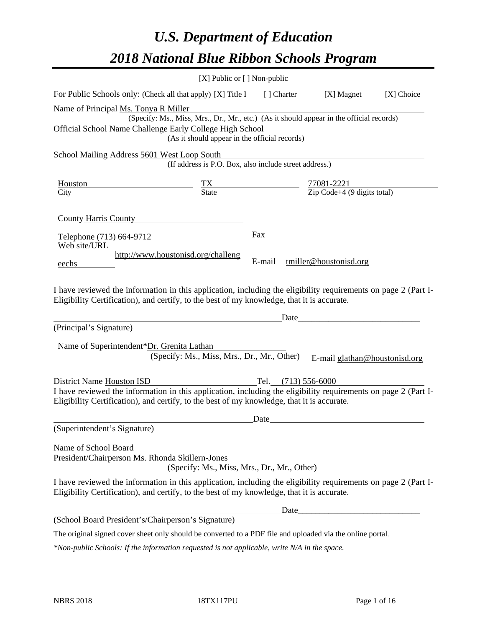# *U.S. Department of Education 2018 National Blue Ribbon Schools Program*

|                                                                                                                                                                                                              | [X] Public or [] Non-public                                                              |                                                                                   |                                                                                                                      |            |
|--------------------------------------------------------------------------------------------------------------------------------------------------------------------------------------------------------------|------------------------------------------------------------------------------------------|-----------------------------------------------------------------------------------|----------------------------------------------------------------------------------------------------------------------|------------|
| For Public Schools only: (Check all that apply) [X] Title I [] Charter [X] Magnet                                                                                                                            |                                                                                          |                                                                                   |                                                                                                                      | [X] Choice |
| Name of Principal Ms. Tonya R Miller                                                                                                                                                                         |                                                                                          |                                                                                   |                                                                                                                      |            |
|                                                                                                                                                                                                              | (Specify: Ms., Miss, Mrs., Dr., Mr., etc.) (As it should appear in the official records) |                                                                                   |                                                                                                                      |            |
| Official School Name Challenge Early College High School                                                                                                                                                     | (As it should appear in the official records)                                            |                                                                                   |                                                                                                                      |            |
|                                                                                                                                                                                                              |                                                                                          |                                                                                   |                                                                                                                      |            |
| School Mailing Address 5601 West Loop South                                                                                                                                                                  | (If address is P.O. Box, also include street address.)                                   |                                                                                   |                                                                                                                      |            |
| Houston                                                                                                                                                                                                      |                                                                                          | $\frac{TX}{State}$ $\frac{77081-2221}{Zip\text{ Code}+4\text{ (9 digits total)}}$ |                                                                                                                      |            |
| City                                                                                                                                                                                                         |                                                                                          |                                                                                   |                                                                                                                      |            |
| County Harris County<br>Telephone (713) 664-9712                                                                                                                                                             |                                                                                          | Fax                                                                               |                                                                                                                      |            |
| Web site/URL<br>eechs                                                                                                                                                                                        | http://www.houstonisd.org/challeng                                                       | E-mail                                                                            | tmiller@houstonisd.org                                                                                               |            |
| I have reviewed the information in this application, including the eligibility requirements on page 2 (Part I-<br>Eligibility Certification), and certify, to the best of my knowledge, that it is accurate. |                                                                                          |                                                                                   |                                                                                                                      |            |
| (Principal's Signature)                                                                                                                                                                                      |                                                                                          | Date                                                                              | <u> 1989 - Johann Barn, mars eta bainar eta bainar eta baina eta baina eta baina eta baina eta baina eta baina e</u> |            |
|                                                                                                                                                                                                              |                                                                                          |                                                                                   |                                                                                                                      |            |
| Name of Superintendent*Dr. Grenita Lathan                                                                                                                                                                    |                                                                                          |                                                                                   |                                                                                                                      |            |
|                                                                                                                                                                                                              | (Specify: Ms., Miss, Mrs., Dr., Mr., Other)                                              |                                                                                   | E-mail glathan@houstonisd.org                                                                                        |            |
|                                                                                                                                                                                                              |                                                                                          |                                                                                   |                                                                                                                      |            |
| <b>District Name Houston ISD</b><br>I have reviewed the information in this application, including the eligibility requirements on page 2 (Part I-                                                           |                                                                                          | Tel. $(713)$ 556-6000                                                             |                                                                                                                      |            |
| Eligibility Certification), and certify, to the best of my knowledge, that it is accurate.                                                                                                                   |                                                                                          |                                                                                   |                                                                                                                      |            |
|                                                                                                                                                                                                              |                                                                                          | Date                                                                              |                                                                                                                      |            |
| (Superintendent's Signature)                                                                                                                                                                                 |                                                                                          |                                                                                   |                                                                                                                      |            |
| Name of School Board<br>President/Chairperson Ms. Rhonda Skillern-Jones                                                                                                                                      | (Specify: Ms., Miss, Mrs., Dr., Mr., Other)                                              |                                                                                   |                                                                                                                      |            |
|                                                                                                                                                                                                              |                                                                                          |                                                                                   |                                                                                                                      |            |
| I have reviewed the information in this application, including the eligibility requirements on page 2 (Part I-<br>Eligibility Certification), and certify, to the best of my knowledge, that it is accurate. |                                                                                          |                                                                                   |                                                                                                                      |            |
|                                                                                                                                                                                                              |                                                                                          | Date                                                                              |                                                                                                                      |            |
| (School Board President's/Chairperson's Signature)                                                                                                                                                           |                                                                                          |                                                                                   |                                                                                                                      |            |
| The original signed cover sheet only should be converted to a PDF file and uploaded via the online portal.                                                                                                   |                                                                                          |                                                                                   |                                                                                                                      |            |

*\*Non-public Schools: If the information requested is not applicable, write N/A in the space.*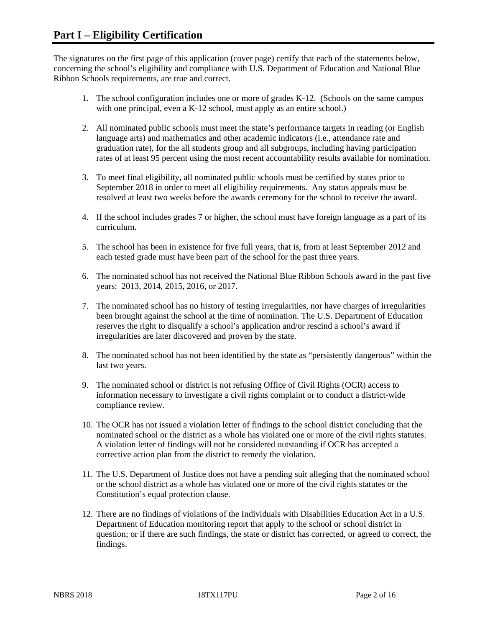The signatures on the first page of this application (cover page) certify that each of the statements below, concerning the school's eligibility and compliance with U.S. Department of Education and National Blue Ribbon Schools requirements, are true and correct.

- 1. The school configuration includes one or more of grades K-12. (Schools on the same campus with one principal, even a K-12 school, must apply as an entire school.)
- 2. All nominated public schools must meet the state's performance targets in reading (or English language arts) and mathematics and other academic indicators (i.e., attendance rate and graduation rate), for the all students group and all subgroups, including having participation rates of at least 95 percent using the most recent accountability results available for nomination.
- 3. To meet final eligibility, all nominated public schools must be certified by states prior to September 2018 in order to meet all eligibility requirements. Any status appeals must be resolved at least two weeks before the awards ceremony for the school to receive the award.
- 4. If the school includes grades 7 or higher, the school must have foreign language as a part of its curriculum.
- 5. The school has been in existence for five full years, that is, from at least September 2012 and each tested grade must have been part of the school for the past three years.
- 6. The nominated school has not received the National Blue Ribbon Schools award in the past five years: 2013, 2014, 2015, 2016, or 2017.
- 7. The nominated school has no history of testing irregularities, nor have charges of irregularities been brought against the school at the time of nomination. The U.S. Department of Education reserves the right to disqualify a school's application and/or rescind a school's award if irregularities are later discovered and proven by the state.
- 8. The nominated school has not been identified by the state as "persistently dangerous" within the last two years.
- 9. The nominated school or district is not refusing Office of Civil Rights (OCR) access to information necessary to investigate a civil rights complaint or to conduct a district-wide compliance review.
- 10. The OCR has not issued a violation letter of findings to the school district concluding that the nominated school or the district as a whole has violated one or more of the civil rights statutes. A violation letter of findings will not be considered outstanding if OCR has accepted a corrective action plan from the district to remedy the violation.
- 11. The U.S. Department of Justice does not have a pending suit alleging that the nominated school or the school district as a whole has violated one or more of the civil rights statutes or the Constitution's equal protection clause.
- 12. There are no findings of violations of the Individuals with Disabilities Education Act in a U.S. Department of Education monitoring report that apply to the school or school district in question; or if there are such findings, the state or district has corrected, or agreed to correct, the findings.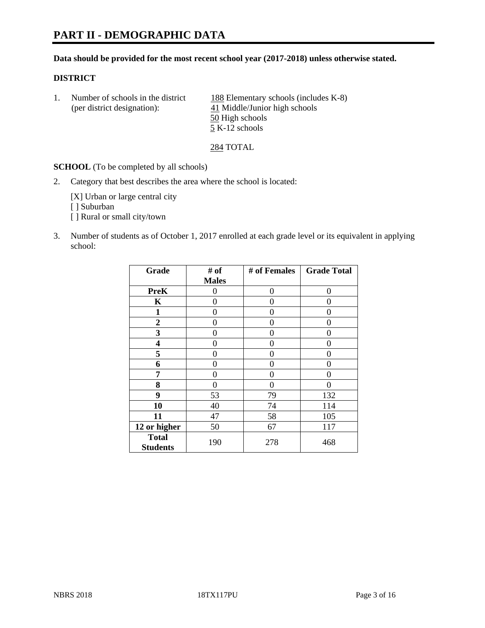# **PART II - DEMOGRAPHIC DATA**

#### **Data should be provided for the most recent school year (2017-2018) unless otherwise stated.**

#### **DISTRICT**

1. Number of schools in the district 188 Elementary schools (includes K-8) (per district designation): 41 Middle/Junior high schools 50 High schools 5 K-12 schools

284 TOTAL

**SCHOOL** (To be completed by all schools)

2. Category that best describes the area where the school is located:

[X] Urban or large central city [ ] Suburban [] Rural or small city/town

3. Number of students as of October 1, 2017 enrolled at each grade level or its equivalent in applying school:

| Grade                           | # of         | # of Females | <b>Grade Total</b> |
|---------------------------------|--------------|--------------|--------------------|
|                                 | <b>Males</b> |              |                    |
| <b>PreK</b>                     | 0            | $\theta$     | 0                  |
| $\mathbf K$                     | 0            | 0            | 0                  |
| $\mathbf{1}$                    | 0            | 0            | 0                  |
| 2                               | 0            | 0            | 0                  |
| 3                               | 0            | 0            | 0                  |
| 4                               | 0            | $\Omega$     | 0                  |
| 5                               | 0            | 0            | 0                  |
| 6                               | 0            | 0            | 0                  |
| 7                               | 0            | 0            | 0                  |
| 8                               | 0            | 0            | 0                  |
| 9                               | 53           | 79           | 132                |
| 10                              | 40           | 74           | 114                |
| 11                              | 47           | 58           | 105                |
| 12 or higher                    | 50           | 67           | 117                |
| <b>Total</b><br><b>Students</b> | 190          | 278          | 468                |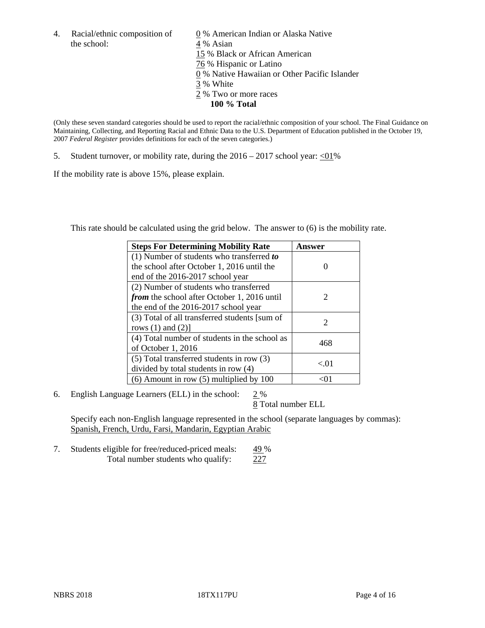the school: 4 % Asian

4. Racial/ethnic composition of  $\qquad 0\%$  American Indian or Alaska Native 15 % Black or African American 76 % Hispanic or Latino 0 % Native Hawaiian or Other Pacific Islander 3 % White 2 % Two or more races **100 % Total**

(Only these seven standard categories should be used to report the racial/ethnic composition of your school. The Final Guidance on Maintaining, Collecting, and Reporting Racial and Ethnic Data to the U.S. Department of Education published in the October 19, 2007 *Federal Register* provides definitions for each of the seven categories.)

5. Student turnover, or mobility rate, during the  $2016 - 2017$  school year:  $\langle 01\%$ 

If the mobility rate is above 15%, please explain.

This rate should be calculated using the grid below. The answer to (6) is the mobility rate.

| <b>Steps For Determining Mobility Rate</b>         | Answer |
|----------------------------------------------------|--------|
| (1) Number of students who transferred to          |        |
| the school after October 1, 2016 until the         |        |
| end of the 2016-2017 school year                   |        |
| (2) Number of students who transferred             |        |
| <i>from</i> the school after October 1, 2016 until | 2      |
| the end of the 2016-2017 school year               |        |
| (3) Total of all transferred students [sum of      | 2      |
| rows $(1)$ and $(2)$ ]                             |        |
| (4) Total number of students in the school as      |        |
| of October 1, 2016                                 | 468    |
| (5) Total transferred students in row (3)          | < 01   |
| divided by total students in row (4)               |        |
| $(6)$ Amount in row $(5)$ multiplied by 100        |        |

6. English Language Learners (ELL) in the school:  $2\%$ 

8 Total number ELL

Specify each non-English language represented in the school (separate languages by commas): Spanish, French, Urdu, Farsi, Mandarin, Egyptian Arabic

7. Students eligible for free/reduced-priced meals: 49 % Total number students who qualify: 227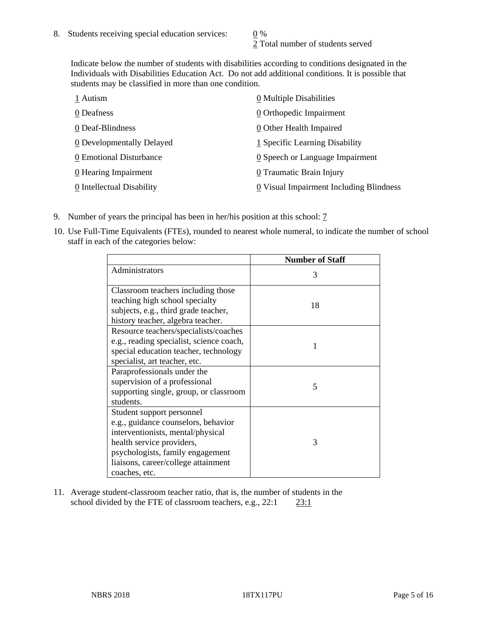2 Total number of students served

Indicate below the number of students with disabilities according to conditions designated in the Individuals with Disabilities Education Act. Do not add additional conditions. It is possible that students may be classified in more than one condition.

| 1 Autism                  | 0 Multiple Disabilities                       |
|---------------------------|-----------------------------------------------|
| 0 Deafness                | 0 Orthopedic Impairment                       |
| 0 Deaf-Blindness          | $\underline{0}$ Other Health Impaired         |
| 0 Developmentally Delayed | 1 Specific Learning Disability                |
| 0 Emotional Disturbance   | $\underline{0}$ Speech or Language Impairment |
| 0 Hearing Impairment      | 0 Traumatic Brain Injury                      |
| 0 Intellectual Disability | 0 Visual Impairment Including Blindness       |

- 9. Number of years the principal has been in her/his position at this school:  $\frac{7}{1}$
- 10. Use Full-Time Equivalents (FTEs), rounded to nearest whole numeral, to indicate the number of school staff in each of the categories below:

|                                                                                                                                                                                                                                | <b>Number of Staff</b> |
|--------------------------------------------------------------------------------------------------------------------------------------------------------------------------------------------------------------------------------|------------------------|
| Administrators                                                                                                                                                                                                                 | 3                      |
| Classroom teachers including those<br>teaching high school specialty<br>subjects, e.g., third grade teacher,<br>history teacher, algebra teacher.                                                                              | 18                     |
| Resource teachers/specialists/coaches<br>e.g., reading specialist, science coach,<br>special education teacher, technology<br>specialist, art teacher, etc.                                                                    |                        |
| Paraprofessionals under the<br>supervision of a professional<br>supporting single, group, or classroom<br>students.                                                                                                            | 5                      |
| Student support personnel<br>e.g., guidance counselors, behavior<br>interventionists, mental/physical<br>health service providers,<br>psychologists, family engagement<br>liaisons, career/college attainment<br>coaches, etc. | 3                      |

11. Average student-classroom teacher ratio, that is, the number of students in the school divided by the FTE of classroom teachers, e.g., 22:1 23:1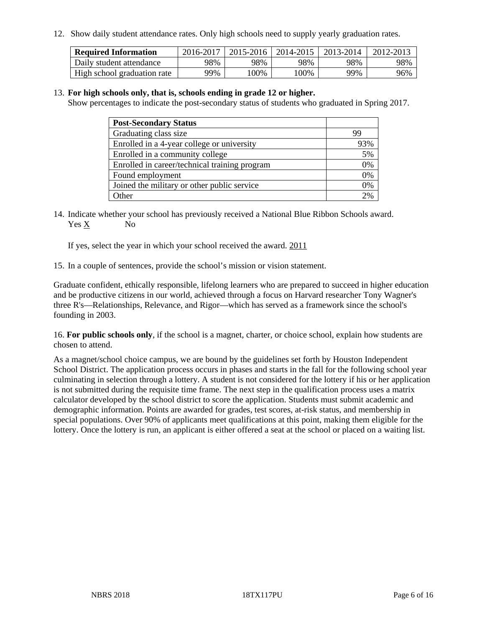12. Show daily student attendance rates. Only high schools need to supply yearly graduation rates.

| <b>Required Information</b> | 2016-2017 | 2015-2016 | 2014-2015 | 2013-2014 | 2012-2013 |
|-----------------------------|-----------|-----------|-----------|-----------|-----------|
| Daily student attendance    | 98%       | 98%       | 98%       | 98%       | 98%       |
| High school graduation rate | 99%       | 100%      | 00%       | 99%       | 96%       |

#### 13. **For high schools only, that is, schools ending in grade 12 or higher.**

Show percentages to indicate the post-secondary status of students who graduated in Spring 2017.

| <b>Post-Secondary Status</b>                  |                 |
|-----------------------------------------------|-----------------|
| Graduating class size                         | 99              |
| Enrolled in a 4-year college or university    | 93%             |
| Enrolled in a community college               | 5%              |
| Enrolled in career/technical training program | 0%              |
| Found employment                              | 0%              |
| Joined the military or other public service   | 0%              |
| Other                                         | 20 <sub>6</sub> |

14. Indicate whether your school has previously received a National Blue Ribbon Schools award. Yes X No

If yes, select the year in which your school received the award. 2011

15. In a couple of sentences, provide the school's mission or vision statement.

Graduate confident, ethically responsible, lifelong learners who are prepared to succeed in higher education and be productive citizens in our world, achieved through a focus on Harvard researcher Tony Wagner's three R's—Relationships, Relevance, and Rigor—which has served as a framework since the school's founding in 2003.

16. **For public schools only**, if the school is a magnet, charter, or choice school, explain how students are chosen to attend.

As a magnet/school choice campus, we are bound by the guidelines set forth by Houston Independent School District. The application process occurs in phases and starts in the fall for the following school year culminating in selection through a lottery. A student is not considered for the lottery if his or her application is not submitted during the requisite time frame. The next step in the qualification process uses a matrix calculator developed by the school district to score the application. Students must submit academic and demographic information. Points are awarded for grades, test scores, at-risk status, and membership in special populations. Over 90% of applicants meet qualifications at this point, making them eligible for the lottery. Once the lottery is run, an applicant is either offered a seat at the school or placed on a waiting list.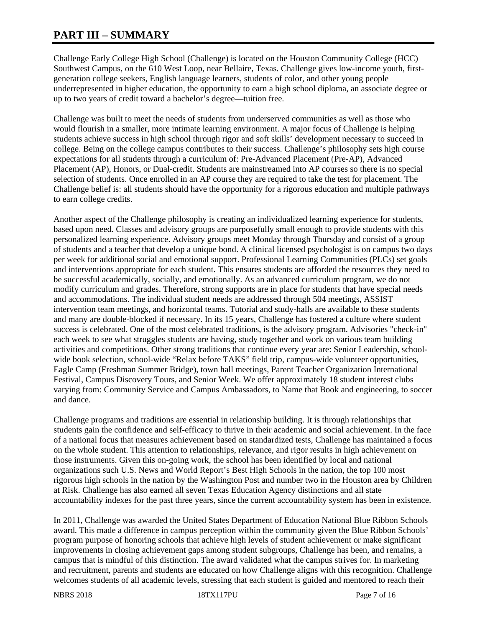# **PART III – SUMMARY**

Challenge Early College High School (Challenge) is located on the Houston Community College (HCC) Southwest Campus, on the 610 West Loop, near Bellaire, Texas. Challenge gives low-income youth, firstgeneration college seekers, English language learners, students of color, and other young people underrepresented in higher education, the opportunity to earn a high school diploma, an associate degree or up to two years of credit toward a bachelor's degree—tuition free.

Challenge was built to meet the needs of students from underserved communities as well as those who would flourish in a smaller, more intimate learning environment. A major focus of Challenge is helping students achieve success in high school through rigor and soft skills' development necessary to succeed in college. Being on the college campus contributes to their success. Challenge's philosophy sets high course expectations for all students through a curriculum of: Pre-Advanced Placement (Pre-AP), Advanced Placement (AP), Honors, or Dual-credit. Students are mainstreamed into AP courses so there is no special selection of students. Once enrolled in an AP course they are required to take the test for placement. The Challenge belief is: all students should have the opportunity for a rigorous education and multiple pathways to earn college credits.

Another aspect of the Challenge philosophy is creating an individualized learning experience for students, based upon need. Classes and advisory groups are purposefully small enough to provide students with this personalized learning experience. Advisory groups meet Monday through Thursday and consist of a group of students and a teacher that develop a unique bond. A clinical licensed psychologist is on campus two days per week for additional social and emotional support. Professional Learning Communities (PLCs) set goals and interventions appropriate for each student. This ensures students are afforded the resources they need to be successful academically, socially, and emotionally. As an advanced curriculum program, we do not modify curriculum and grades. Therefore, strong supports are in place for students that have special needs and accommodations. The individual student needs are addressed through 504 meetings, ASSIST intervention team meetings, and horizontal teams. Tutorial and study-halls are available to these students and many are double-blocked if necessary. In its 15 years, Challenge has fostered a culture where student success is celebrated. One of the most celebrated traditions, is the advisory program. Advisories "check-in" each week to see what struggles students are having, study together and work on various team building activities and competitions. Other strong traditions that continue every year are: Senior Leadership, schoolwide book selection, school-wide "Relax before TAKS" field trip, campus-wide volunteer opportunities, Eagle Camp (Freshman Summer Bridge), town hall meetings, Parent Teacher Organization International Festival, Campus Discovery Tours, and Senior Week. We offer approximately 18 student interest clubs varying from: Community Service and Campus Ambassadors, to Name that Book and engineering, to soccer and dance.

Challenge programs and traditions are essential in relationship building. It is through relationships that students gain the confidence and self-efficacy to thrive in their academic and social achievement. In the face of a national focus that measures achievement based on standardized tests, Challenge has maintained a focus on the whole student. This attention to relationships, relevance, and rigor results in high achievement on those instruments. Given this on-going work, the school has been identified by local and national organizations such U.S. News and World Report's Best High Schools in the nation, the top 100 most rigorous high schools in the nation by the Washington Post and number two in the Houston area by Children at Risk. Challenge has also earned all seven Texas Education Agency distinctions and all state accountability indexes for the past three years, since the current accountability system has been in existence.

In 2011, Challenge was awarded the United States Department of Education National Blue Ribbon Schools award. This made a difference in campus perception within the community given the Blue Ribbon Schools' program purpose of honoring schools that achieve high levels of student achievement or make significant improvements in closing achievement gaps among student subgroups, Challenge has been, and remains, a campus that is mindful of this distinction. The award validated what the campus strives for. In marketing and recruitment, parents and students are educated on how Challenge aligns with this recognition. Challenge welcomes students of all academic levels, stressing that each student is guided and mentored to reach their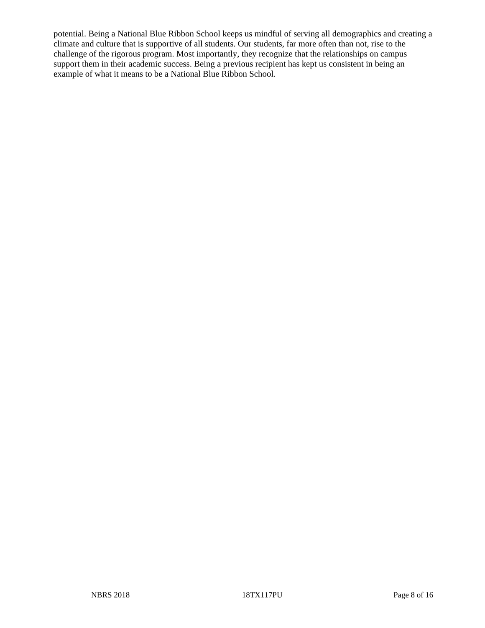potential. Being a National Blue Ribbon School keeps us mindful of serving all demographics and creating a climate and culture that is supportive of all students. Our students, far more often than not, rise to the challenge of the rigorous program. Most importantly, they recognize that the relationships on campus support them in their academic success. Being a previous recipient has kept us consistent in being an example of what it means to be a National Blue Ribbon School.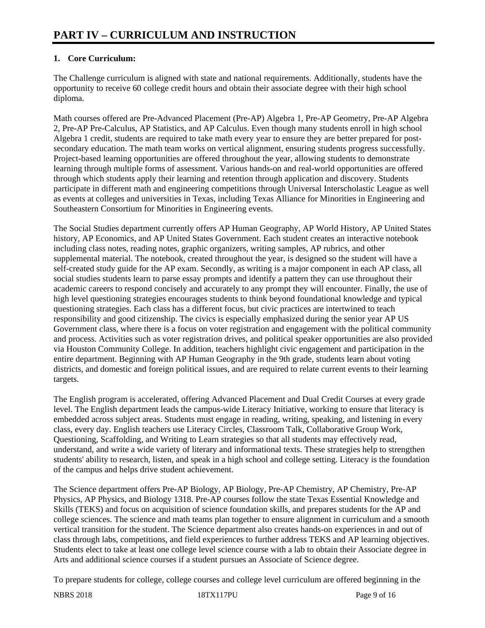# **1. Core Curriculum:**

The Challenge curriculum is aligned with state and national requirements. Additionally, students have the opportunity to receive 60 college credit hours and obtain their associate degree with their high school diploma.

Math courses offered are Pre-Advanced Placement (Pre-AP) Algebra 1, Pre-AP Geometry, Pre-AP Algebra 2, Pre-AP Pre-Calculus, AP Statistics, and AP Calculus. Even though many students enroll in high school Algebra 1 credit, students are required to take math every year to ensure they are better prepared for postsecondary education. The math team works on vertical alignment, ensuring students progress successfully. Project-based learning opportunities are offered throughout the year, allowing students to demonstrate learning through multiple forms of assessment. Various hands-on and real-world opportunities are offered through which students apply their learning and retention through application and discovery. Students participate in different math and engineering competitions through Universal Interscholastic League as well as events at colleges and universities in Texas, including Texas Alliance for Minorities in Engineering and Southeastern Consortium for Minorities in Engineering events.

The Social Studies department currently offers AP Human Geography, AP World History, AP United States history, AP Economics, and AP United States Government. Each student creates an interactive notebook including class notes, reading notes, graphic organizers, writing samples, AP rubrics, and other supplemental material. The notebook, created throughout the year, is designed so the student will have a self-created study guide for the AP exam. Secondly, as writing is a major component in each AP class, all social studies students learn to parse essay prompts and identify a pattern they can use throughout their academic careers to respond concisely and accurately to any prompt they will encounter. Finally, the use of high level questioning strategies encourages students to think beyond foundational knowledge and typical questioning strategies. Each class has a different focus, but civic practices are intertwined to teach responsibility and good citizenship. The civics is especially emphasized during the senior year AP US Government class, where there is a focus on voter registration and engagement with the political community and process. Activities such as voter registration drives, and political speaker opportunities are also provided via Houston Community College. In addition, teachers highlight civic engagement and participation in the entire department. Beginning with AP Human Geography in the 9th grade, students learn about voting districts, and domestic and foreign political issues, and are required to relate current events to their learning targets.

The English program is accelerated, offering Advanced Placement and Dual Credit Courses at every grade level. The English department leads the campus-wide Literacy Initiative, working to ensure that literacy is embedded across subject areas. Students must engage in reading, writing, speaking, and listening in every class, every day. English teachers use Literacy Circles, Classroom Talk, Collaborative Group Work, Questioning, Scaffolding, and Writing to Learn strategies so that all students may effectively read, understand, and write a wide variety of literary and informational texts. These strategies help to strengthen students' ability to research, listen, and speak in a high school and college setting. Literacy is the foundation of the campus and helps drive student achievement.

The Science department offers Pre-AP Biology, AP Biology, Pre-AP Chemistry, AP Chemistry, Pre-AP Physics, AP Physics, and Biology 1318. Pre-AP courses follow the state Texas Essential Knowledge and Skills (TEKS) and focus on acquisition of science foundation skills, and prepares students for the AP and college sciences. The science and math teams plan together to ensure alignment in curriculum and a smooth vertical transition for the student. The Science department also creates hands-on experiences in and out of class through labs, competitions, and field experiences to further address TEKS and AP learning objectives. Students elect to take at least one college level science course with a lab to obtain their Associate degree in Arts and additional science courses if a student pursues an Associate of Science degree.

To prepare students for college, college courses and college level curriculum are offered beginning in the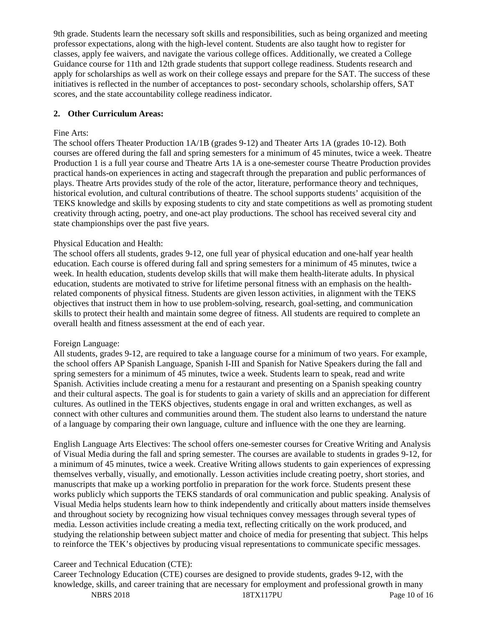9th grade. Students learn the necessary soft skills and responsibilities, such as being organized and meeting professor expectations, along with the high-level content. Students are also taught how to register for classes, apply fee waivers, and navigate the various college offices. Additionally, we created a College Guidance course for 11th and 12th grade students that support college readiness. Students research and apply for scholarships as well as work on their college essays and prepare for the SAT. The success of these initiatives is reflected in the number of acceptances to post- secondary schools, scholarship offers, SAT scores, and the state accountability college readiness indicator.

#### **2. Other Curriculum Areas:**

#### Fine Arts:

The school offers Theater Production 1A/1B (grades 9-12) and Theater Arts 1A (grades 10-12). Both courses are offered during the fall and spring semesters for a minimum of 45 minutes, twice a week. Theatre Production 1 is a full year course and Theatre Arts 1A is a one-semester course Theatre Production provides practical hands-on experiences in acting and stagecraft through the preparation and public performances of plays. Theatre Arts provides study of the role of the actor, literature, performance theory and techniques, historical evolution, and cultural contributions of theatre. The school supports students' acquisition of the TEKS knowledge and skills by exposing students to city and state competitions as well as promoting student creativity through acting, poetry, and one-act play productions. The school has received several city and state championships over the past five years.

#### Physical Education and Health:

The school offers all students, grades 9-12, one full year of physical education and one-half year health education. Each course is offered during fall and spring semesters for a minimum of 45 minutes, twice a week. In health education, students develop skills that will make them health-literate adults. In physical education, students are motivated to strive for lifetime personal fitness with an emphasis on the healthrelated components of physical fitness. Students are given lesson activities, in alignment with the TEKS objectives that instruct them in how to use problem-solving, research, goal-setting, and communication skills to protect their health and maintain some degree of fitness. All students are required to complete an overall health and fitness assessment at the end of each year.

#### Foreign Language:

All students, grades 9-12, are required to take a language course for a minimum of two years. For example, the school offers AP Spanish Language, Spanish I-III and Spanish for Native Speakers during the fall and spring semesters for a minimum of 45 minutes, twice a week. Students learn to speak, read and write Spanish. Activities include creating a menu for a restaurant and presenting on a Spanish speaking country and their cultural aspects. The goal is for students to gain a variety of skills and an appreciation for different cultures. As outlined in the TEKS objectives, students engage in oral and written exchanges, as well as connect with other cultures and communities around them. The student also learns to understand the nature of a language by comparing their own language, culture and influence with the one they are learning.

English Language Arts Electives: The school offers one-semester courses for Creative Writing and Analysis of Visual Media during the fall and spring semester. The courses are available to students in grades 9-12, for a minimum of 45 minutes, twice a week. Creative Writing allows students to gain experiences of expressing themselves verbally, visually, and emotionally. Lesson activities include creating poetry, short stories, and manuscripts that make up a working portfolio in preparation for the work force. Students present these works publicly which supports the TEKS standards of oral communication and public speaking. Analysis of Visual Media helps students learn how to think independently and critically about matters inside themselves and throughout society by recognizing how visual techniques convey messages through several types of media. Lesson activities include creating a media text, reflecting critically on the work produced, and studying the relationship between subject matter and choice of media for presenting that subject. This helps to reinforce the TEK's objectives by producing visual representations to communicate specific messages.

## Career and Technical Education (CTE):

NBRS 2018 18TX117PU Page 10 of 16 Career Technology Education (CTE) courses are designed to provide students, grades 9-12, with the knowledge, skills, and career training that are necessary for employment and professional growth in many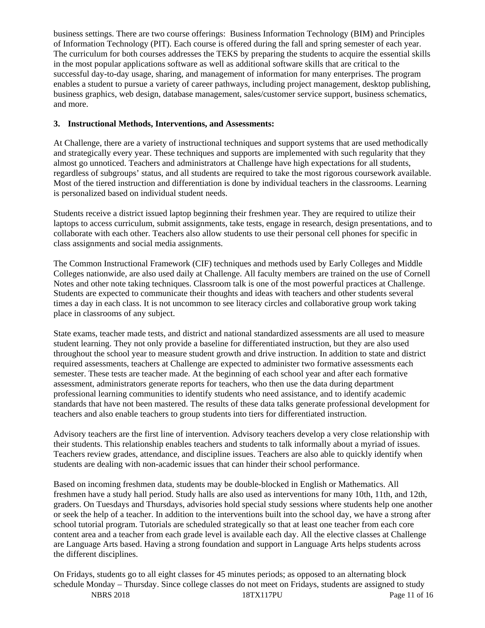business settings. There are two course offerings: Business Information Technology (BIM) and Principles of Information Technology (PIT). Each course is offered during the fall and spring semester of each year. The curriculum for both courses addresses the TEKS by preparing the students to acquire the essential skills in the most popular applications software as well as additional software skills that are critical to the successful day-to-day usage, sharing, and management of information for many enterprises. The program enables a student to pursue a variety of career pathways, including project management, desktop publishing, business graphics, web design, database management, sales/customer service support, business schematics, and more.

### **3. Instructional Methods, Interventions, and Assessments:**

At Challenge, there are a variety of instructional techniques and support systems that are used methodically and strategically every year. These techniques and supports are implemented with such regularity that they almost go unnoticed. Teachers and administrators at Challenge have high expectations for all students, regardless of subgroups' status, and all students are required to take the most rigorous coursework available. Most of the tiered instruction and differentiation is done by individual teachers in the classrooms. Learning is personalized based on individual student needs.

Students receive a district issued laptop beginning their freshmen year. They are required to utilize their laptops to access curriculum, submit assignments, take tests, engage in research, design presentations, and to collaborate with each other. Teachers also allow students to use their personal cell phones for specific in class assignments and social media assignments.

The Common Instructional Framework (CIF) techniques and methods used by Early Colleges and Middle Colleges nationwide, are also used daily at Challenge. All faculty members are trained on the use of Cornell Notes and other note taking techniques. Classroom talk is one of the most powerful practices at Challenge. Students are expected to communicate their thoughts and ideas with teachers and other students several times a day in each class. It is not uncommon to see literacy circles and collaborative group work taking place in classrooms of any subject.

State exams, teacher made tests, and district and national standardized assessments are all used to measure student learning. They not only provide a baseline for differentiated instruction, but they are also used throughout the school year to measure student growth and drive instruction. In addition to state and district required assessments, teachers at Challenge are expected to administer two formative assessments each semester. These tests are teacher made. At the beginning of each school year and after each formative assessment, administrators generate reports for teachers, who then use the data during department professional learning communities to identify students who need assistance, and to identify academic standards that have not been mastered. The results of these data talks generate professional development for teachers and also enable teachers to group students into tiers for differentiated instruction.

Advisory teachers are the first line of intervention. Advisory teachers develop a very close relationship with their students. This relationship enables teachers and students to talk informally about a myriad of issues. Teachers review grades, attendance, and discipline issues. Teachers are also able to quickly identify when students are dealing with non-academic issues that can hinder their school performance.

Based on incoming freshmen data, students may be double-blocked in English or Mathematics. All freshmen have a study hall period. Study halls are also used as interventions for many 10th, 11th, and 12th, graders. On Tuesdays and Thursdays, advisories hold special study sessions where students help one another or seek the help of a teacher. In addition to the interventions built into the school day, we have a strong after school tutorial program. Tutorials are scheduled strategically so that at least one teacher from each core content area and a teacher from each grade level is available each day. All the elective classes at Challenge are Language Arts based. Having a strong foundation and support in Language Arts helps students across the different disciplines.

NBRS 2018 18TX117PU Page 11 of 16 On Fridays, students go to all eight classes for 45 minutes periods; as opposed to an alternating block schedule Monday – Thursday. Since college classes do not meet on Fridays, students are assigned to study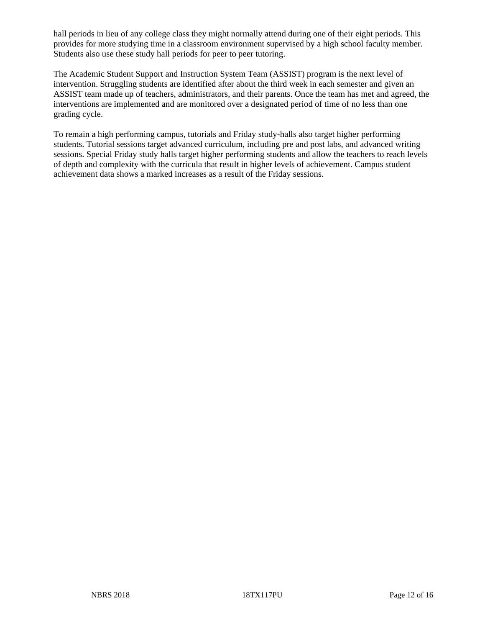hall periods in lieu of any college class they might normally attend during one of their eight periods. This provides for more studying time in a classroom environment supervised by a high school faculty member. Students also use these study hall periods for peer to peer tutoring.

The Academic Student Support and Instruction System Team (ASSIST) program is the next level of intervention. Struggling students are identified after about the third week in each semester and given an ASSIST team made up of teachers, administrators, and their parents. Once the team has met and agreed, the interventions are implemented and are monitored over a designated period of time of no less than one grading cycle.

To remain a high performing campus, tutorials and Friday study-halls also target higher performing students. Tutorial sessions target advanced curriculum, including pre and post labs, and advanced writing sessions. Special Friday study halls target higher performing students and allow the teachers to reach levels of depth and complexity with the curricula that result in higher levels of achievement. Campus student achievement data shows a marked increases as a result of the Friday sessions.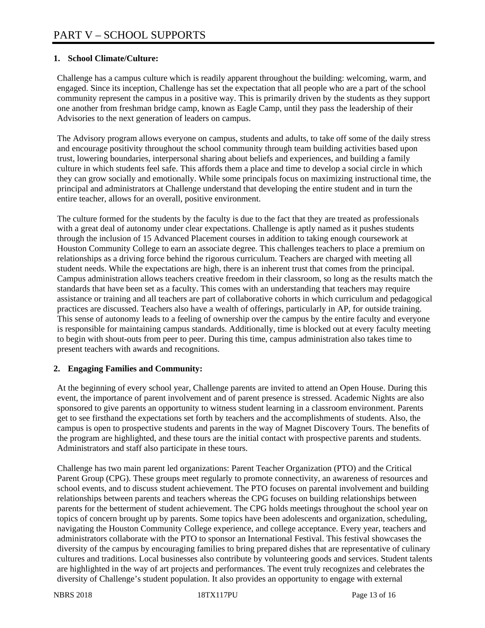### **1. School Climate/Culture:**

Challenge has a campus culture which is readily apparent throughout the building: welcoming, warm, and engaged. Since its inception, Challenge has set the expectation that all people who are a part of the school community represent the campus in a positive way. This is primarily driven by the students as they support one another from freshman bridge camp, known as Eagle Camp, until they pass the leadership of their Advisories to the next generation of leaders on campus.

The Advisory program allows everyone on campus, students and adults, to take off some of the daily stress and encourage positivity throughout the school community through team building activities based upon trust, lowering boundaries, interpersonal sharing about beliefs and experiences, and building a family culture in which students feel safe. This affords them a place and time to develop a social circle in which they can grow socially and emotionally. While some principals focus on maximizing instructional time, the principal and administrators at Challenge understand that developing the entire student and in turn the entire teacher, allows for an overall, positive environment.

The culture formed for the students by the faculty is due to the fact that they are treated as professionals with a great deal of autonomy under clear expectations. Challenge is aptly named as it pushes students through the inclusion of 15 Advanced Placement courses in addition to taking enough coursework at Houston Community College to earn an associate degree. This challenges teachers to place a premium on relationships as a driving force behind the rigorous curriculum. Teachers are charged with meeting all student needs. While the expectations are high, there is an inherent trust that comes from the principal. Campus administration allows teachers creative freedom in their classroom, so long as the results match the standards that have been set as a faculty. This comes with an understanding that teachers may require assistance or training and all teachers are part of collaborative cohorts in which curriculum and pedagogical practices are discussed. Teachers also have a wealth of offerings, particularly in AP, for outside training. This sense of autonomy leads to a feeling of ownership over the campus by the entire faculty and everyone is responsible for maintaining campus standards. Additionally, time is blocked out at every faculty meeting to begin with shout-outs from peer to peer. During this time, campus administration also takes time to present teachers with awards and recognitions.

#### **2. Engaging Families and Community:**

At the beginning of every school year, Challenge parents are invited to attend an Open House. During this event, the importance of parent involvement and of parent presence is stressed. Academic Nights are also sponsored to give parents an opportunity to witness student learning in a classroom environment. Parents get to see firsthand the expectations set forth by teachers and the accomplishments of students. Also, the campus is open to prospective students and parents in the way of Magnet Discovery Tours. The benefits of the program are highlighted, and these tours are the initial contact with prospective parents and students. Administrators and staff also participate in these tours.

Challenge has two main parent led organizations: Parent Teacher Organization (PTO) and the Critical Parent Group (CPG). These groups meet regularly to promote connectivity, an awareness of resources and school events, and to discuss student achievement. The PTO focuses on parental involvement and building relationships between parents and teachers whereas the CPG focuses on building relationships between parents for the betterment of student achievement. The CPG holds meetings throughout the school year on topics of concern brought up by parents. Some topics have been adolescents and organization, scheduling, navigating the Houston Community College experience, and college acceptance. Every year, teachers and administrators collaborate with the PTO to sponsor an International Festival. This festival showcases the diversity of the campus by encouraging families to bring prepared dishes that are representative of culinary cultures and traditions. Local businesses also contribute by volunteering goods and services. Student talents are highlighted in the way of art projects and performances. The event truly recognizes and celebrates the diversity of Challenge's student population. It also provides an opportunity to engage with external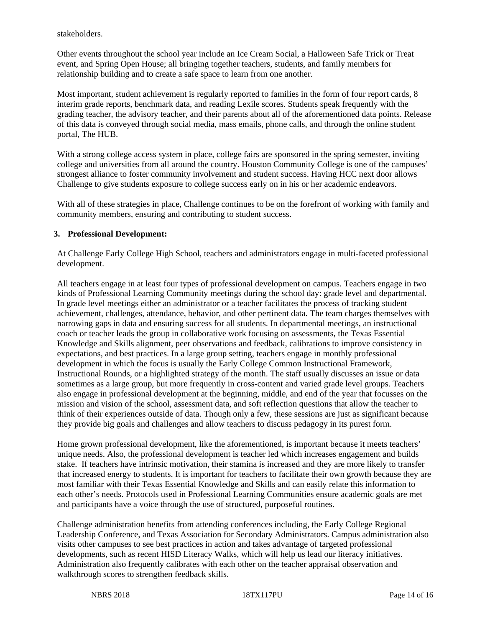stakeholders.

Other events throughout the school year include an Ice Cream Social, a Halloween Safe Trick or Treat event, and Spring Open House; all bringing together teachers, students, and family members for relationship building and to create a safe space to learn from one another.

Most important, student achievement is regularly reported to families in the form of four report cards, 8 interim grade reports, benchmark data, and reading Lexile scores. Students speak frequently with the grading teacher, the advisory teacher, and their parents about all of the aforementioned data points. Release of this data is conveyed through social media, mass emails, phone calls, and through the online student portal, The HUB.

With a strong college access system in place, college fairs are sponsored in the spring semester, inviting college and universities from all around the country. Houston Community College is one of the campuses' strongest alliance to foster community involvement and student success. Having HCC next door allows Challenge to give students exposure to college success early on in his or her academic endeavors.

With all of these strategies in place, Challenge continues to be on the forefront of working with family and community members, ensuring and contributing to student success.

#### **3. Professional Development:**

At Challenge Early College High School, teachers and administrators engage in multi-faceted professional development.

All teachers engage in at least four types of professional development on campus. Teachers engage in two kinds of Professional Learning Community meetings during the school day: grade level and departmental. In grade level meetings either an administrator or a teacher facilitates the process of tracking student achievement, challenges, attendance, behavior, and other pertinent data. The team charges themselves with narrowing gaps in data and ensuring success for all students. In departmental meetings, an instructional coach or teacher leads the group in collaborative work focusing on assessments, the Texas Essential Knowledge and Skills alignment, peer observations and feedback, calibrations to improve consistency in expectations, and best practices. In a large group setting, teachers engage in monthly professional development in which the focus is usually the Early College Common Instructional Framework, Instructional Rounds, or a highlighted strategy of the month. The staff usually discusses an issue or data sometimes as a large group, but more frequently in cross-content and varied grade level groups. Teachers also engage in professional development at the beginning, middle, and end of the year that focusses on the mission and vision of the school, assessment data, and soft reflection questions that allow the teacher to think of their experiences outside of data. Though only a few, these sessions are just as significant because they provide big goals and challenges and allow teachers to discuss pedagogy in its purest form.

Home grown professional development, like the aforementioned, is important because it meets teachers' unique needs. Also, the professional development is teacher led which increases engagement and builds stake. If teachers have intrinsic motivation, their stamina is increased and they are more likely to transfer that increased energy to students. It is important for teachers to facilitate their own growth because they are most familiar with their Texas Essential Knowledge and Skills and can easily relate this information to each other's needs. Protocols used in Professional Learning Communities ensure academic goals are met and participants have a voice through the use of structured, purposeful routines.

Challenge administration benefits from attending conferences including, the Early College Regional Leadership Conference, and Texas Association for Secondary Administrators. Campus administration also visits other campuses to see best practices in action and takes advantage of targeted professional developments, such as recent HISD Literacy Walks, which will help us lead our literacy initiatives. Administration also frequently calibrates with each other on the teacher appraisal observation and walkthrough scores to strengthen feedback skills.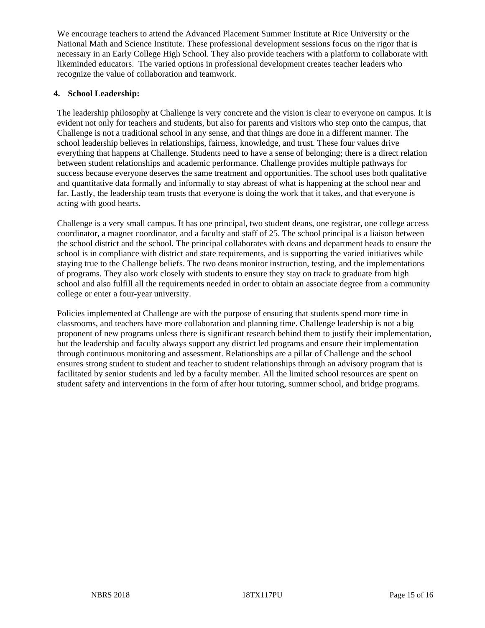We encourage teachers to attend the Advanced Placement Summer Institute at Rice University or the National Math and Science Institute. These professional development sessions focus on the rigor that is necessary in an Early College High School. They also provide teachers with a platform to collaborate with likeminded educators. The varied options in professional development creates teacher leaders who recognize the value of collaboration and teamwork.

### **4. School Leadership:**

The leadership philosophy at Challenge is very concrete and the vision is clear to everyone on campus. It is evident not only for teachers and students, but also for parents and visitors who step onto the campus, that Challenge is not a traditional school in any sense, and that things are done in a different manner. The school leadership believes in relationships, fairness, knowledge, and trust. These four values drive everything that happens at Challenge. Students need to have a sense of belonging; there is a direct relation between student relationships and academic performance. Challenge provides multiple pathways for success because everyone deserves the same treatment and opportunities. The school uses both qualitative and quantitative data formally and informally to stay abreast of what is happening at the school near and far. Lastly, the leadership team trusts that everyone is doing the work that it takes, and that everyone is acting with good hearts.

Challenge is a very small campus. It has one principal, two student deans, one registrar, one college access coordinator, a magnet coordinator, and a faculty and staff of 25. The school principal is a liaison between the school district and the school. The principal collaborates with deans and department heads to ensure the school is in compliance with district and state requirements, and is supporting the varied initiatives while staying true to the Challenge beliefs. The two deans monitor instruction, testing, and the implementations of programs. They also work closely with students to ensure they stay on track to graduate from high school and also fulfill all the requirements needed in order to obtain an associate degree from a community college or enter a four-year university.

Policies implemented at Challenge are with the purpose of ensuring that students spend more time in classrooms, and teachers have more collaboration and planning time. Challenge leadership is not a big proponent of new programs unless there is significant research behind them to justify their implementation, but the leadership and faculty always support any district led programs and ensure their implementation through continuous monitoring and assessment. Relationships are a pillar of Challenge and the school ensures strong student to student and teacher to student relationships through an advisory program that is facilitated by senior students and led by a faculty member. All the limited school resources are spent on student safety and interventions in the form of after hour tutoring, summer school, and bridge programs.